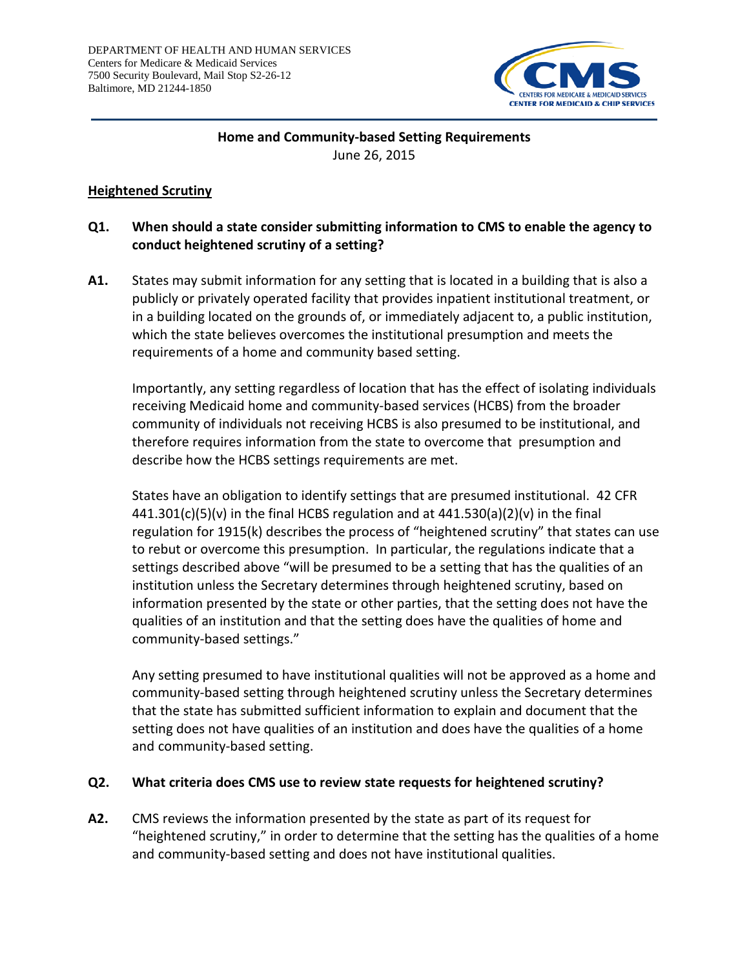

# **Home and Community-based Setting Requirements** June 26, 2015

### **Heightened Scrutiny**

# **Q1. When should a state consider submitting information to CMS to enable the agency to conduct heightened scrutiny of a setting?**

**A1.** States may submit information for any setting that is located in a building that is also a publicly or privately operated facility that provides inpatient institutional treatment, or in a building located on the grounds of, or immediately adjacent to, a public institution, which the state believes overcomes the institutional presumption and meets the requirements of a home and community based setting.

Importantly, any setting regardless of location that has the effect of isolating individuals receiving Medicaid home and community-based services (HCBS) from the broader community of individuals not receiving HCBS is also presumed to be institutional, and therefore requires information from the state to overcome that presumption and describe how the HCBS settings requirements are met.

States have an obligation to identify settings that are presumed institutional. 42 CFR  $441.301(c)(5)(v)$  in the final HCBS regulation and at  $441.530(a)(2)(v)$  in the final regulation for 1915(k) describes the process of "heightened scrutiny" that states can use to rebut or overcome this presumption. In particular, the regulations indicate that a settings described above "will be presumed to be a setting that has the qualities of an institution unless the Secretary determines through heightened scrutiny, based on information presented by the state or other parties, that the setting does not have the qualities of an institution and that the setting does have the qualities of home and community-based settings."

Any setting presumed to have institutional qualities will not be approved as a home and community-based setting through heightened scrutiny unless the Secretary determines that the state has submitted sufficient information to explain and document that the setting does not have qualities of an institution and does have the qualities of a home and community-based setting.

#### **Q2. What criteria does CMS use to review state requests for heightened scrutiny?**

**A2.** CMS reviews the information presented by the state as part of its request for "heightened scrutiny," in order to determine that the setting has the qualities of a home and community-based setting and does not have institutional qualities.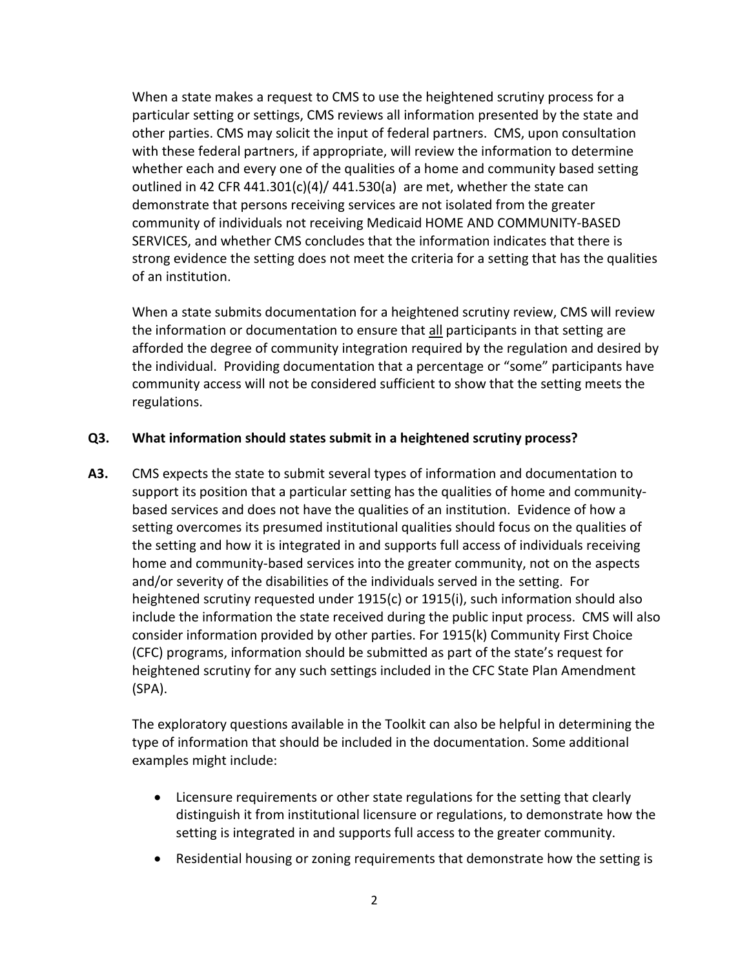When a state makes a request to CMS to use the heightened scrutiny process for a particular setting or settings, CMS reviews all information presented by the state and other parties. CMS may solicit the input of federal partners. CMS, upon consultation with these federal partners, if appropriate, will review the information to determine whether each and every one of the qualities of a home and community based setting outlined in 42 CFR 441.301(c)(4)/ 441.530(a) are met, whether the state can demonstrate that persons receiving services are not isolated from the greater community of individuals not receiving Medicaid HOME AND COMMUNITY-BASED SERVICES, and whether CMS concludes that the information indicates that there is strong evidence the setting does not meet the criteria for a setting that has the qualities of an institution.

When a state submits documentation for a heightened scrutiny review, CMS will review the information or documentation to ensure that all participants in that setting are afforded the degree of community integration required by the regulation and desired by the individual. Providing documentation that a percentage or "some" participants have community access will not be considered sufficient to show that the setting meets the regulations.

#### **Q3. What information should states submit in a heightened scrutiny process?**

**A3.** CMS expects the state to submit several types of information and documentation to support its position that a particular setting has the qualities of home and communitybased services and does not have the qualities of an institution. Evidence of how a setting overcomes its presumed institutional qualities should focus on the qualities of the setting and how it is integrated in and supports full access of individuals receiving home and community-based services into the greater community, not on the aspects and/or severity of the disabilities of the individuals served in the setting. For heightened scrutiny requested under 1915(c) or 1915(i), such information should also include the information the state received during the public input process. CMS will also consider information provided by other parties. For 1915(k) Community First Choice (CFC) programs, information should be submitted as part of the state's request for heightened scrutiny for any such settings included in the CFC State Plan Amendment (SPA).

The exploratory questions available in the Toolkit can also be helpful in determining the type of information that should be included in the documentation. Some additional examples might include:

- Licensure requirements or other state regulations for the setting that clearly distinguish it from institutional licensure or regulations, to demonstrate how the setting is integrated in and supports full access to the greater community.
- Residential housing or zoning requirements that demonstrate how the setting is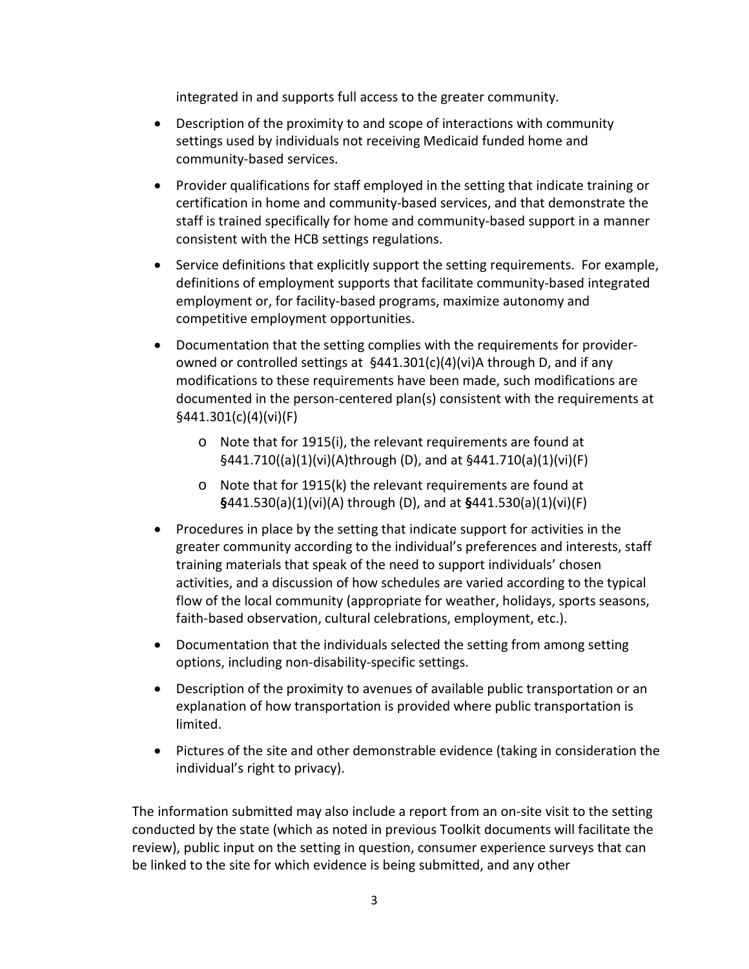integrated in and supports full access to the greater community.

- Description of the proximity to and scope of interactions with community settings used by individuals not receiving Medicaid funded home and community-based services.
- Provider qualifications for staff employed in the setting that indicate training or certification in home and community-based services, and that demonstrate the staff is trained specifically for home and community-based support in a manner consistent with the HCB settings regulations.
- Service definitions that explicitly support the setting requirements. For example, definitions of employment supports that facilitate community-based integrated employment or, for facility-based programs, maximize autonomy and competitive employment opportunities.
- Documentation that the setting complies with the requirements for providerowned or controlled settings at §441.301(c)(4)(vi)A through D, and if any modifications to these requirements have been made, such modifications are documented in the person-centered plan(s) consistent with the requirements at §441.301(c)(4)(vi)(F)
	- o Note that for 1915(i), the relevant requirements are found at §441.710((a)(1)(vi)(A)through (D), and at §441.710(a)(1)(vi)(F)
	- o Note that for 1915(k) the relevant requirements are found at **§**441.530(a)(1)(vi)(A) through (D), and at **§**441.530(a)(1)(vi)(F)
- Procedures in place by the setting that indicate support for activities in the greater community according to the individual's preferences and interests, staff training materials that speak of the need to support individuals' chosen activities, and a discussion of how schedules are varied according to the typical flow of the local community (appropriate for weather, holidays, sports seasons, faith-based observation, cultural celebrations, employment, etc.).
- Documentation that the individuals selected the setting from among setting options, including non-disability-specific settings.
- Description of the proximity to avenues of available public transportation or an explanation of how transportation is provided where public transportation is limited.
- Pictures of the site and other demonstrable evidence (taking in consideration the individual's right to privacy).

The information submitted may also include a report from an on-site visit to the setting conducted by the state (which as noted in previous Toolkit documents will facilitate the review), public input on the setting in question, consumer experience surveys that can be linked to the site for which evidence is being submitted, and any other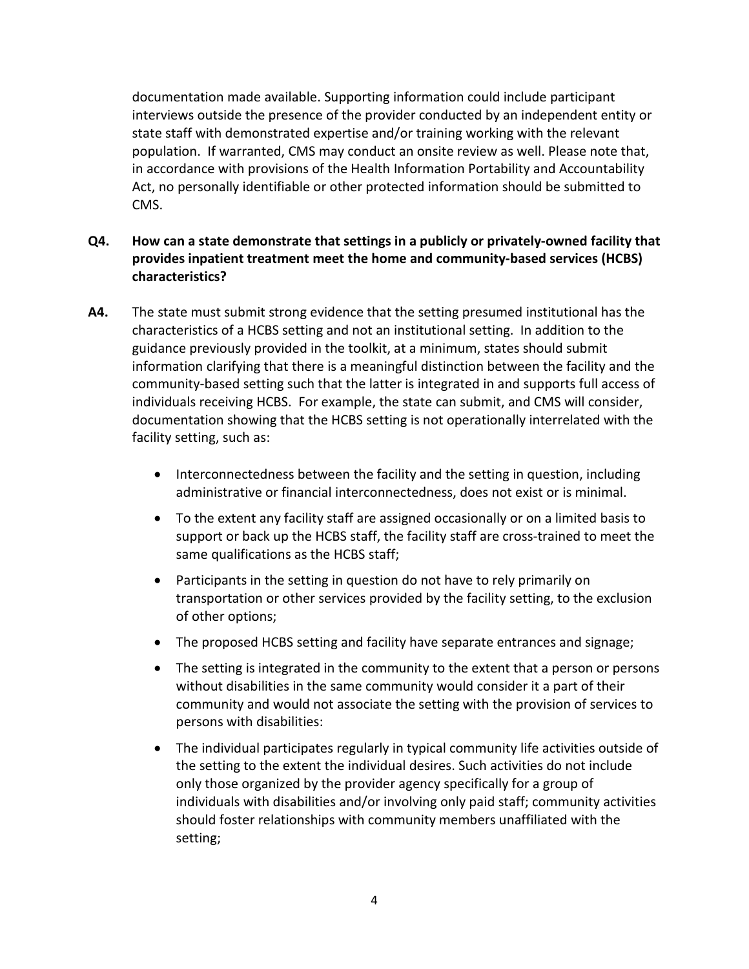documentation made available. Supporting information could include participant interviews outside the presence of the provider conducted by an independent entity or state staff with demonstrated expertise and/or training working with the relevant population. If warranted, CMS may conduct an onsite review as well. Please note that, in accordance with provisions of the Health Information Portability and Accountability Act, no personally identifiable or other protected information should be submitted to CMS.

- **Q4. How can a state demonstrate that settings in a publicly or privately-owned facility that provides inpatient treatment meet the home and community-based services (HCBS) characteristics?**
- **A4.** The state must submit strong evidence that the setting presumed institutional has the characteristics of a HCBS setting and not an institutional setting. In addition to the guidance previously provided in the toolkit, at a minimum, states should submit information clarifying that there is a meaningful distinction between the facility and the community-based setting such that the latter is integrated in and supports full access of individuals receiving HCBS. For example, the state can submit, and CMS will consider, documentation showing that the HCBS setting is not operationally interrelated with the facility setting, such as:
	- Interconnectedness between the facility and the setting in question, including administrative or financial interconnectedness, does not exist or is minimal.
	- To the extent any facility staff are assigned occasionally or on a limited basis to support or back up the HCBS staff, the facility staff are cross-trained to meet the same qualifications as the HCBS staff;
	- Participants in the setting in question do not have to rely primarily on transportation or other services provided by the facility setting, to the exclusion of other options;
	- The proposed HCBS setting and facility have separate entrances and signage;
	- The setting is integrated in the community to the extent that a person or persons without disabilities in the same community would consider it a part of their community and would not associate the setting with the provision of services to persons with disabilities:
	- The individual participates regularly in typical community life activities outside of the setting to the extent the individual desires. Such activities do not include only those organized by the provider agency specifically for a group of individuals with disabilities and/or involving only paid staff; community activities should foster relationships with community members unaffiliated with the setting;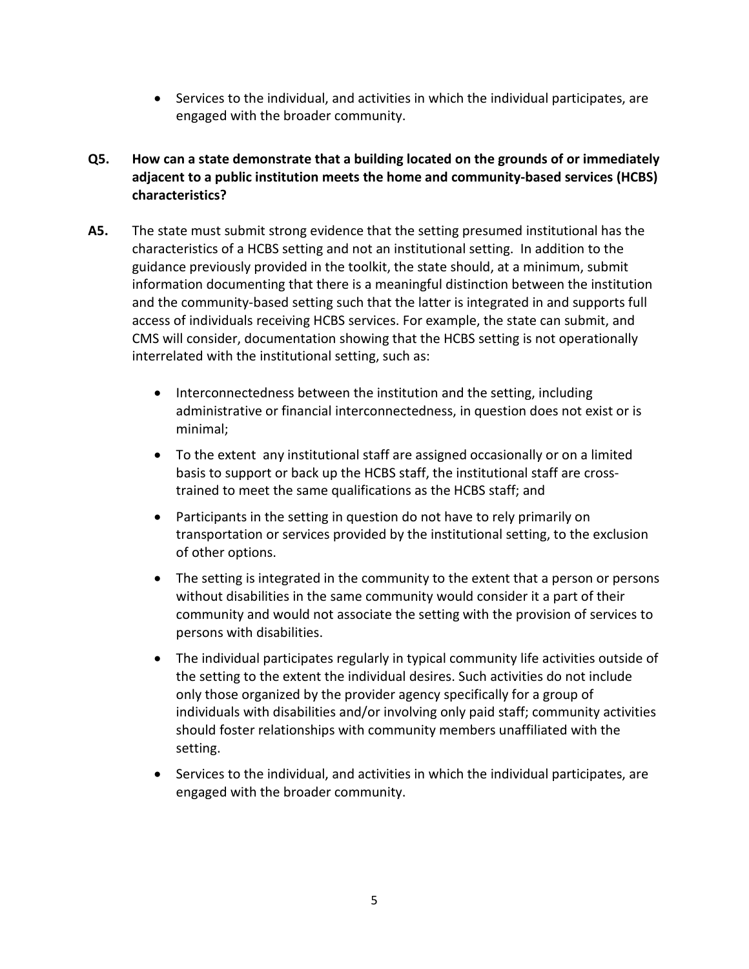• Services to the individual, and activities in which the individual participates, are engaged with the broader community.

# **Q5. How can a state demonstrate that a building located on the grounds of or immediately adjacent to a public institution meets the home and community-based services (HCBS) characteristics?**

- **A5.** The state must submit strong evidence that the setting presumed institutional has the characteristics of a HCBS setting and not an institutional setting. In addition to the guidance previously provided in the toolkit, the state should, at a minimum, submit information documenting that there is a meaningful distinction between the institution and the community-based setting such that the latter is integrated in and supports full access of individuals receiving HCBS services. For example, the state can submit, and CMS will consider, documentation showing that the HCBS setting is not operationally interrelated with the institutional setting, such as:
	- Interconnectedness between the institution and the setting, including administrative or financial interconnectedness, in question does not exist or is minimal;
	- To the extent any institutional staff are assigned occasionally or on a limited basis to support or back up the HCBS staff, the institutional staff are crosstrained to meet the same qualifications as the HCBS staff; and
	- Participants in the setting in question do not have to rely primarily on transportation or services provided by the institutional setting, to the exclusion of other options.
	- The setting is integrated in the community to the extent that a person or persons without disabilities in the same community would consider it a part of their community and would not associate the setting with the provision of services to persons with disabilities.
	- The individual participates regularly in typical community life activities outside of the setting to the extent the individual desires. Such activities do not include only those organized by the provider agency specifically for a group of individuals with disabilities and/or involving only paid staff; community activities should foster relationships with community members unaffiliated with the setting.
	- Services to the individual, and activities in which the individual participates, are engaged with the broader community.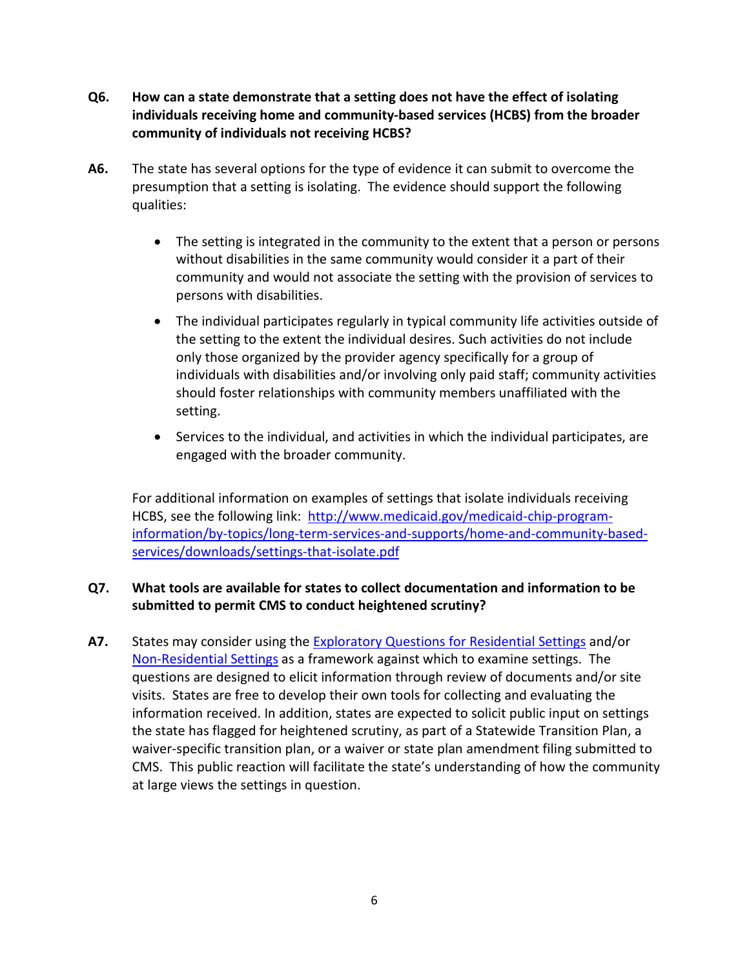- **Q6. How can a state demonstrate that a setting does not have the effect of isolating individuals receiving home and community-based services (HCBS) from the broader community of individuals not receiving HCBS?**
- **A6.** The state has several options for the type of evidence it can submit to overcome the presumption that a setting is isolating. The evidence should support the following qualities:
	- The setting is integrated in the community to the extent that a person or persons without disabilities in the same community would consider it a part of their community and would not associate the setting with the provision of services to persons with disabilities.
	- The individual participates regularly in typical community life activities outside of the setting to the extent the individual desires. Such activities do not include only those organized by the provider agency specifically for a group of individuals with disabilities and/or involving only paid staff; community activities should foster relationships with community members unaffiliated with the setting.
	- Services to the individual, and activities in which the individual participates, are engaged with the broader community.

For additional information on examples of settings that isolate individuals receiving HCBS, see the following link: [http://www.medicaid.gov/medicaid-chip-program](http://www.medicaid.gov/medicaid-chip-program-information/by-topics/long-term-services-and-supports/home-and-community-based-services/downloads/settings-that-isolate.pdf)[information/by-topics/long-term-services-and-supports/home-and-community-based](http://www.medicaid.gov/medicaid-chip-program-information/by-topics/long-term-services-and-supports/home-and-community-based-services/downloads/settings-that-isolate.pdf)[services/downloads/settings-that-isolate.pdf](http://www.medicaid.gov/medicaid-chip-program-information/by-topics/long-term-services-and-supports/home-and-community-based-services/downloads/settings-that-isolate.pdf)

# **Q7. What tools are available for states to collect documentation and information to be submitted to permit CMS to conduct heightened scrutiny?**

**A7.** States may consider using the [Exploratory Questions for Residential Settings](http://www.medicaid.gov/medicaid-chip-program-information/by-topics/long-term-services-and-supports/home-and-community-based-services/downloads/exploratory-questions-re-settings-characteristics.pdf) and/or [Non-Residential Settings](http://www.medicaid.gov/medicaid-chip-program-information/by-topics/long-term-services-and-supports/home-and-community-based-services/downloads/exploratory-questions-non-residential.pdf) as a framework against which to examine settings. The questions are designed to elicit information through review of documents and/or site visits. States are free to develop their own tools for collecting and evaluating the information received. In addition, states are expected to solicit public input on settings the state has flagged for heightened scrutiny, as part of a Statewide Transition Plan, a waiver-specific transition plan, or a waiver or state plan amendment filing submitted to CMS. This public reaction will facilitate the state's understanding of how the community at large views the settings in question.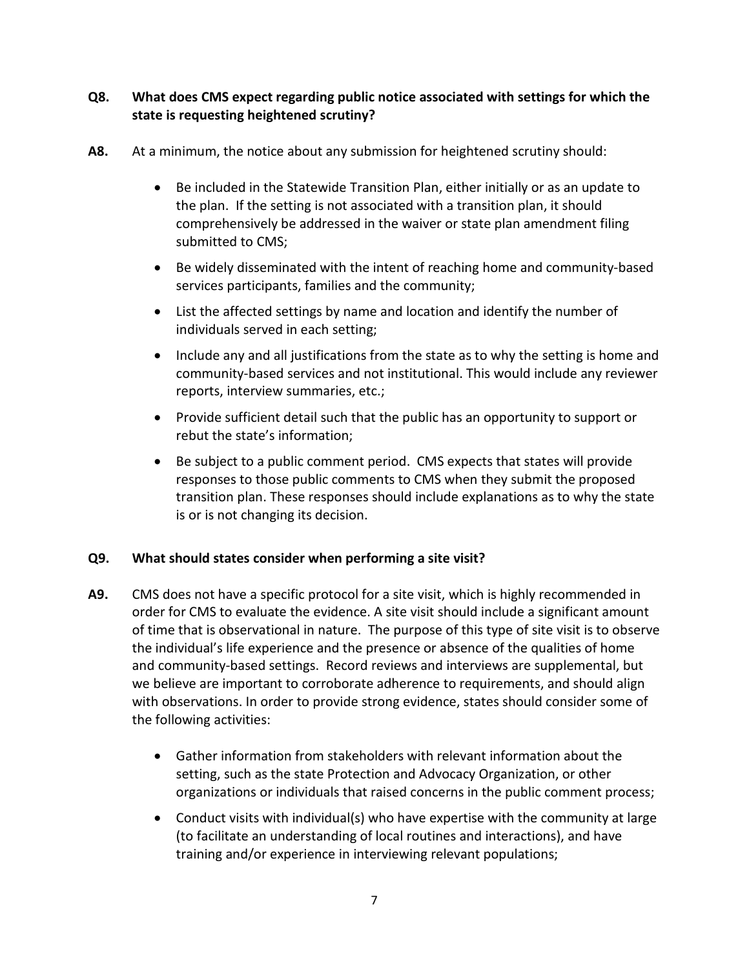# **Q8. What does CMS expect regarding public notice associated with settings for which the state is requesting heightened scrutiny?**

- **A8.** At a minimum, the notice about any submission for heightened scrutiny should:
	- Be included in the Statewide Transition Plan, either initially or as an update to the plan. If the setting is not associated with a transition plan, it should comprehensively be addressed in the waiver or state plan amendment filing submitted to CMS;
	- Be widely disseminated with the intent of reaching home and community-based services participants, families and the community;
	- List the affected settings by name and location and identify the number of individuals served in each setting;
	- Include any and all justifications from the state as to why the setting is home and community-based services and not institutional. This would include any reviewer reports, interview summaries, etc.;
	- Provide sufficient detail such that the public has an opportunity to support or rebut the state's information;
	- Be subject to a public comment period. CMS expects that states will provide responses to those public comments to CMS when they submit the proposed transition plan. These responses should include explanations as to why the state is or is not changing its decision.

# **Q9. What should states consider when performing a site visit?**

- **A9.** CMS does not have a specific protocol for a site visit, which is highly recommended in order for CMS to evaluate the evidence. A site visit should include a significant amount of time that is observational in nature. The purpose of this type of site visit is to observe the individual's life experience and the presence or absence of the qualities of home and community-based settings. Record reviews and interviews are supplemental, but we believe are important to corroborate adherence to requirements, and should align with observations. In order to provide strong evidence, states should consider some of the following activities:
	- Gather information from stakeholders with relevant information about the setting, such as the state Protection and Advocacy Organization, or other organizations or individuals that raised concerns in the public comment process;
	- Conduct visits with individual(s) who have expertise with the community at large (to facilitate an understanding of local routines and interactions), and have training and/or experience in interviewing relevant populations;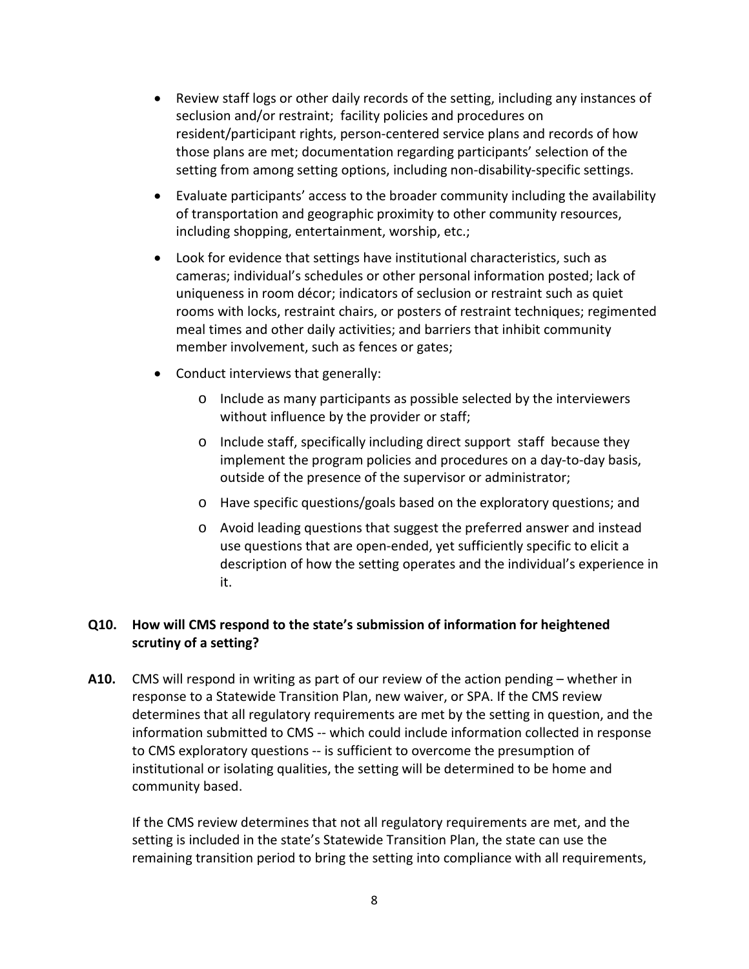- Review staff logs or other daily records of the setting, including any instances of seclusion and/or restraint; facility policies and procedures on resident/participant rights, person-centered service plans and records of how those plans are met; documentation regarding participants' selection of the setting from among setting options, including non-disability-specific settings.
- Evaluate participants' access to the broader community including the availability of transportation and geographic proximity to other community resources, including shopping, entertainment, worship, etc.;
- Look for evidence that settings have institutional characteristics, such as cameras; individual's schedules or other personal information posted; lack of uniqueness in room décor; indicators of seclusion or restraint such as quiet rooms with locks, restraint chairs, or posters of restraint techniques; regimented meal times and other daily activities; and barriers that inhibit community member involvement, such as fences or gates;
- Conduct interviews that generally:
	- o Include as many participants as possible selected by the interviewers without influence by the provider or staff;
	- o Include staff, specifically including direct support staff because they implement the program policies and procedures on a day-to-day basis, outside of the presence of the supervisor or administrator;
	- o Have specific questions/goals based on the exploratory questions; and
	- o Avoid leading questions that suggest the preferred answer and instead use questions that are open-ended, yet sufficiently specific to elicit a description of how the setting operates and the individual's experience in it.

# **Q10. How will CMS respond to the state's submission of information for heightened scrutiny of a setting?**

**A10.** CMS will respond in writing as part of our review of the action pending – whether in response to a Statewide Transition Plan, new waiver, or SPA. If the CMS review determines that all regulatory requirements are met by the setting in question, and the information submitted to CMS -- which could include information collected in response to CMS exploratory questions -- is sufficient to overcome the presumption of institutional or isolating qualities, the setting will be determined to be home and community based.

If the CMS review determines that not all regulatory requirements are met, and the setting is included in the state's Statewide Transition Plan, the state can use the remaining transition period to bring the setting into compliance with all requirements,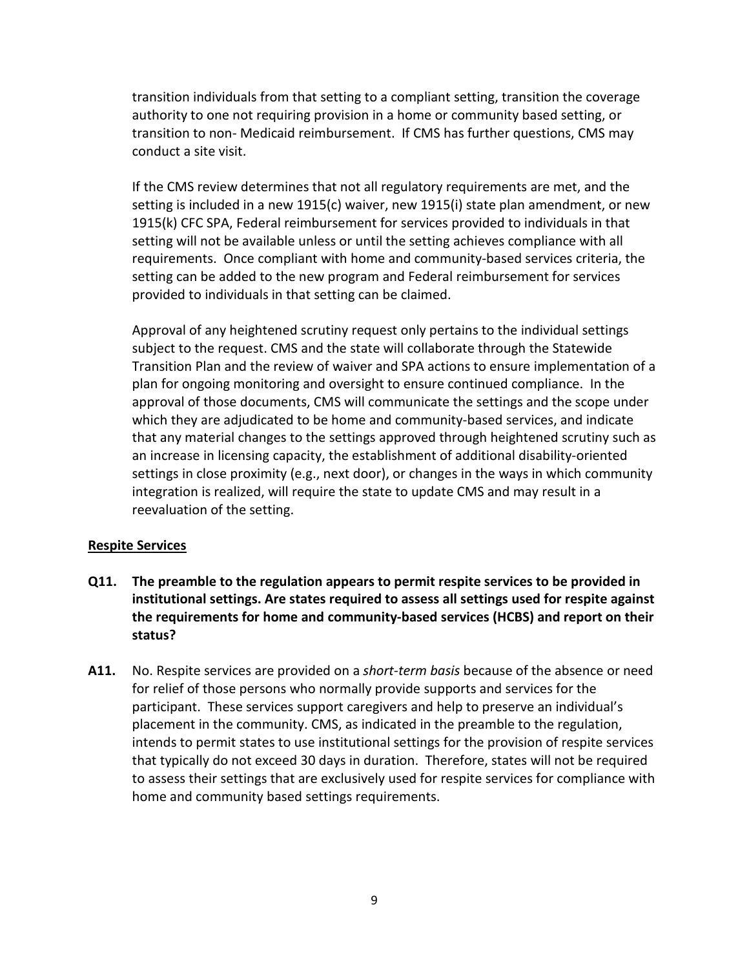transition individuals from that setting to a compliant setting, transition the coverage authority to one not requiring provision in a home or community based setting, or transition to non- Medicaid reimbursement. If CMS has further questions, CMS may conduct a site visit.

If the CMS review determines that not all regulatory requirements are met, and the setting is included in a new 1915(c) waiver, new 1915(i) state plan amendment, or new 1915(k) CFC SPA, Federal reimbursement for services provided to individuals in that setting will not be available unless or until the setting achieves compliance with all requirements. Once compliant with home and community-based services criteria, the setting can be added to the new program and Federal reimbursement for services provided to individuals in that setting can be claimed.

Approval of any heightened scrutiny request only pertains to the individual settings subject to the request. CMS and the state will collaborate through the Statewide Transition Plan and the review of waiver and SPA actions to ensure implementation of a plan for ongoing monitoring and oversight to ensure continued compliance. In the approval of those documents, CMS will communicate the settings and the scope under which they are adjudicated to be home and community-based services, and indicate that any material changes to the settings approved through heightened scrutiny such as an increase in licensing capacity, the establishment of additional disability-oriented settings in close proximity (e.g., next door), or changes in the ways in which community integration is realized, will require the state to update CMS and may result in a reevaluation of the setting.

#### **Respite Services**

- **Q11. The preamble to the regulation appears to permit respite services to be provided in institutional settings. Are states required to assess all settings used for respite against the requirements for home and community-based services (HCBS) and report on their status?**
- **A11.** No. Respite services are provided on a *short-term basis* because of the absence or need for relief of those persons who normally provide supports and services for the participant.These services support caregivers and help to preserve an individual's placement in the community. CMS, as indicated in the preamble to the regulation, intends to permit states to use institutional settings for the provision of respite services that typically do not exceed 30 days in duration. Therefore, states will not be required to assess their settings that are exclusively used for respite services for compliance with home and community based settings requirements.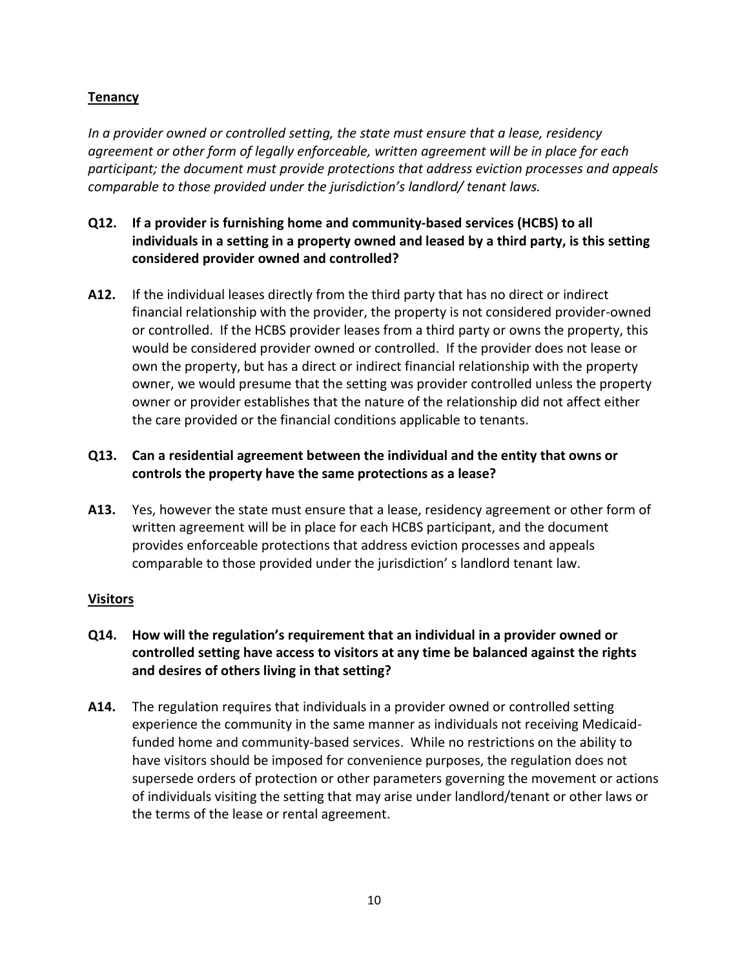# **Tenancy**

*In a provider owned or controlled setting, the state must ensure that a lease, residency agreement or other form of legally enforceable, written agreement will be in place for each participant; the document must provide protections that address eviction processes and appeals comparable to those provided under the jurisdiction's landlord/ tenant laws.*

- **Q12. If a provider is furnishing home and community-based services (HCBS) to all individuals in a setting in a property owned and leased by a third party, is this setting considered provider owned and controlled?**
- **A12.** If the individual leases directly from the third party that has no direct or indirect financial relationship with the provider, the property is not considered provider-owned or controlled. If the HCBS provider leases from a third party or owns the property, this would be considered provider owned or controlled. If the provider does not lease or own the property, but has a direct or indirect financial relationship with the property owner, we would presume that the setting was provider controlled unless the property owner or provider establishes that the nature of the relationship did not affect either the care provided or the financial conditions applicable to tenants.

# **Q13. Can a residential agreement between the individual and the entity that owns or controls the property have the same protections as a lease?**

**A13.** Yes, however the state must ensure that a lease, residency agreement or other form of written agreement will be in place for each HCBS participant, and the document provides enforceable protections that address eviction processes and appeals comparable to those provided under the jurisdiction' s landlord tenant law.

# **Visitors**

- **Q14. How will the regulation's requirement that an individual in a provider owned or controlled setting have access to visitors at any time be balanced against the rights and desires of others living in that setting?**
- **A14.** The regulation requires that individuals in a provider owned or controlled setting experience the community in the same manner as individuals not receiving Medicaidfunded home and community-based services. While no restrictions on the ability to have visitors should be imposed for convenience purposes, the regulation does not supersede orders of protection or other parameters governing the movement or actions of individuals visiting the setting that may arise under landlord/tenant or other laws or the terms of the lease or rental agreement.